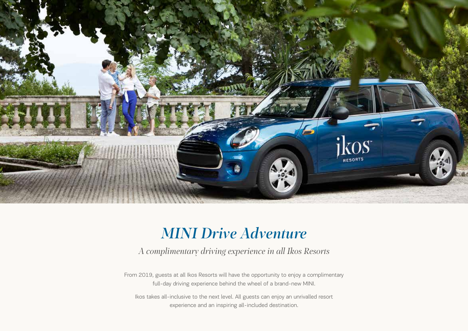

## *MINI Drive Adventure*

*A complimentary driving experience in all Ikos Resorts*

From 2019, guests at all Ikos Resorts will have the opportunity to enjoy a complimentary full-day driving experience behind the wheel of a brand-new MINI.

Ikos takes all-inclusive to the next level. All guests can enjoy an unrivalled resort experience and an inspiring all-included destination.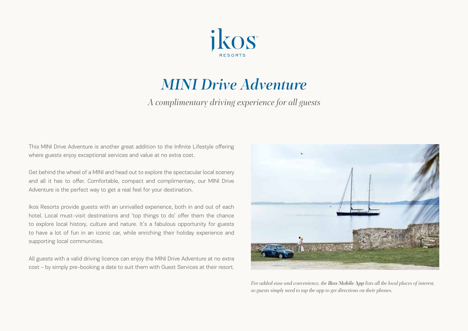

## *MINI Drive Adventure*

*A complimentary driving experience for all guests*

This MINI Drive Adventure is another great addition to the Infinite Lifestyle offering where guests enjoy exceptional services and value at no extra cost.

Get behind the wheel of a MINI and head out to explore the spectacular local scenery and all it has to offer. Comfortable, compact and complimentary, our MINI Drive Adventure is the perfect way to get a real feel for your destination.

Ikos Resorts provide guests with an unrivalled experience, both in and out of each hotel. Local must-visit destinations and 'top things to do' offer them the chance to explore local history, culture and nature. It's a fabulous opportunity for guests to have a lot of fun in an iconic car, while enriching their holiday experience and supporting local communities.

All guests with a valid driving licence can enjoy the MINI Drive Adventure at no extra cost – by simply pre-booking a date to suit them with Guest Services at their resort.



*For added ease and convenience, the Ikos Mobile App lists all the local places of interest, so guests simply need to tap the app to get directions on their phones.*